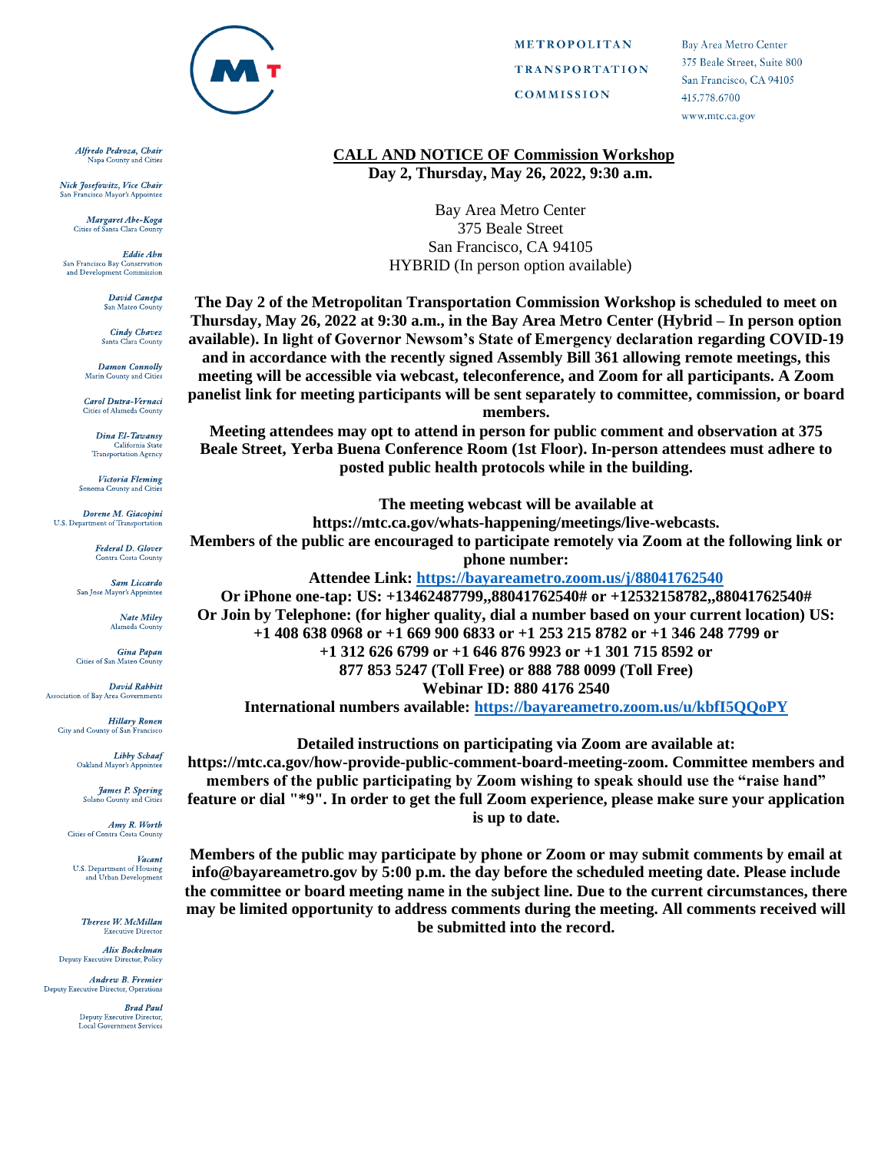

Alfredo Pedroza, Chair Napa County and Cities

Nick Josefowitz, Vice Chair San Francisco Mayor's Appointee

> Margaret Abe-Koga Cities of Santa Clara Cou

Eddie Abn San Francisco Bay Conservation and Development Commission

> David Canepa San Mateo County

**Cindy Chavez** Santa Clara County

Damon Connolly Marin County and Cities

Carol Dutra-Vernaci ties of Alameda County

Dina El-Tawansy California State<br>Transportation Agency

Victoria Fleming Sonoma County and Citi

Dorene M. Giacopini U.S. Department of Transportation

> **Federal D. Glover** Contra Costa County

**Sam Liccardo** San Jose Mayor's Appointee

> Nate Miley Alameda Count

Gina Papan Cities of San Mateo County

**David Rabbitt** Association of Bay Area Governments

**Hillary Ronen** City and County of San Francisco

> **Libby Schaaf** Oakland Mayor's Appointee

**James P. Spering** Solano County and Citi

Amy R. Worth Cities of Contra Costa County

Vacant U.S. Department of Housing and Urban Development

Therese W. McMillan **Executive Director** 

**Alix Bockelman** Deputy Executive Director, Policy

Andrew B. Fremier Deputy Executive Director, Operations

> **Brad Paul** Deputy Executive Director,<br>Local Government Services

**METROPOLITAN TRANSPORTATION COMMISSION** 

**Bay Area Metro Center** 375 Beale Street, Suite 800 San Francisco, CA 94105 415.778.6700 www.mtc.ca.gov

## **CALL AND NOTICE OF Commission Workshop** Day 2, Thursday, May 26, 2022, 9:30 a.m.

**Bay Area Metro Center** 375 Beale Street San Francisco, CA 94105 **HYBRID** (In person option available)

The Day 2 of the Metropolitan Transportation Commission Workshop is scheduled to meet on Thursday, May 26, 2022 at 9:30 a.m., in the Bay Area Metro Center (Hybrid – In person option available). In light of Governor Newsom's State of Emergency declaration regarding COVID-19 and in accordance with the recently signed Assembly Bill 361 allowing remote meetings, this meeting will be accessible via webcast, teleconference, and Zoom for all participants. A Zoom panelist link for meeting participants will be sent separately to committee, commission, or board members.

Meeting attendees may opt to attend in person for public comment and observation at 375 Beale Street, Yerba Buena Conference Room (1st Floor). In-person attendees must adhere to posted public health protocols while in the building.

The meeting webcast will be available at https://mtc.ca.gov/whats-happening/meetings/live-webcasts. Members of the public are encouraged to participate remotely via Zoom at the following link or phone number: Attendee Link: https://bayareametro.zoom.us/j/88041762540 Or iPhone one-tap: US: +13462487799,,88041762540# or +12532158782,,88041762540#

Or Join by Telephone: (for higher quality, dial a number based on your current location) US: +1 408 638 0968 or +1 669 900 6833 or +1 253 215 8782 or +1 346 248 7799 or  $+1$  312 626 6799 or  $+1$  646 876 9923 or  $+1$  301 715 8592 or 877 853 5247 (Toll Free) or 888 788 0099 (Toll Free) **Webinar ID: 880 4176 2540** International numbers available: https://bayareametro.zoom.us/u/kbfI5OOoPY

Detailed instructions on participating via Zoom are available at: https://mtc.ca.gov/how-provide-public-comment-board-meeting-zoom. Committee members and members of the public participating by Zoom wishing to speak should use the "raise hand" feature or dial "\*9". In order to get the full Zoom experience, please make sure your application is up to date.

Members of the public may participate by phone or Zoom or may submit comments by email at info@bayareametro.gov by 5:00 p.m. the day before the scheduled meeting date. Please include the committee or board meeting name in the subject line. Due to the current circumstances, there may be limited opportunity to address comments during the meeting. All comments received will be submitted into the record.